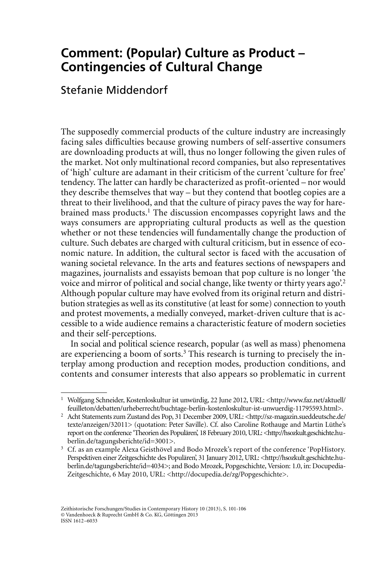## **Comment: (Popular) Culture as Product – Contingencies of Cultural Change**

## Stefanie Middendorf

The supposedly commercial products of the culture industry are increasingly facing sales difficulties because growing numbers of self-assertive consumers are downloading products at will, thus no longer following the given rules of the market. Not only multinational record companies, but also representatives of 'high' culture are adamant in their criticism of the current 'culture for free' tendency. The latter can hardly be characterized as profit-oriented – nor would they describe themselves that way – but they contend that bootleg copies are a threat to their livelihood, and that the culture of piracy paves the way for harebrained mass products.<sup>1</sup> The discussion encompasses copyright laws and the ways consumers are appropriating cultural products as well as the question whether or not these tendencies will fundamentally change the production of culture. Such debates are charged with cultural criticism, but in essence of economic nature. In addition, the cultural sector is faced with the accusation of waning societal relevance. In the arts and features sections of newspapers and magazines, journalists and essayists bemoan that pop culture is no longer 'the voice and mirror of political and social change, like twenty or thirty years ago.<sup>2</sup> Although popular culture may have evolved from its original return and distribution strategies as well as its constitutive (at least for some) connection to youth and protest movements, a medially conveyed, market-driven culture that is accessible to a wide audience remains a characteristic feature of modern societies and their self-perceptions.

In social and political science research, popular (as well as mass) phenomena are experiencing a boom of sorts.<sup>3</sup> This research is turning to precisely the interplay among production and reception modes, production conditions, and contents and consumer interests that also appears so problematic in current

<sup>1</sup> Wolfgang Schneider, Kostenloskultur ist unwürdig, 22 June 2012, URL: <http://www.faz.net/aktuell/ feuilleton/debatten/urheberrecht/buchtage-berlin-kostenloskultur-ist-unwuerdig-11795593.html>.

<sup>&</sup>lt;sup>2</sup> Acht Statements zum Zustand des Pop, 31 December 2009, URL: <http://sz-magazin.sueddeutsche.de/ texte/anzeigen/32011> (quotation: Peter Saville). Cf. also Caroline Rothauge and Martin Lüthe's report on the conference 'Theorien des Populären', 18 February 2010, URL: <http://hsozkult.geschichte.huberlin.de/tagungsberichte/id=3001>.

<sup>3</sup> Cf. as an example Alexa Geisthövel and Bodo Mrozek's report of the conference 'PopHistory. Perspektiven einer Zeitgeschichte des Populären', 31 January 2012, URL: <http://hsozkult.geschichte.huberlin.de/tagungsberichte/id=4034>; and Bodo Mrozek, Popgeschichte, Version: 1.0, in: Docupedia-Zeitgeschichte, 6 May 2010, URL: <http://docupedia.de/zg/Popgeschichte>.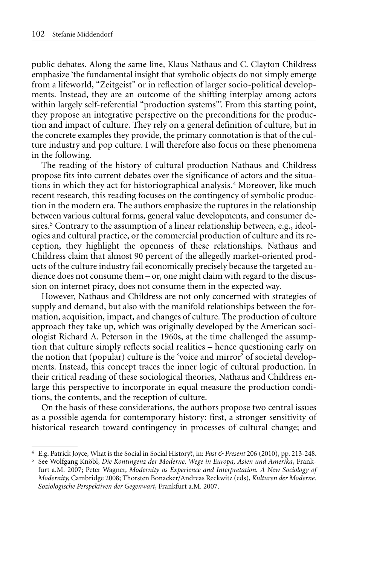public debates. Along the same line, Klaus Nathaus and C. Clayton Childress emphasize 'the fundamental insight that symbolic objects do not simply emerge from a lifeworld, "Zeitgeist" or in reflection of larger socio-political developments. Instead, they are an outcome of the shifting interplay among actors within largely self-referential "production systems"'. From this starting point, they propose an integrative perspective on the preconditions for the production and impact of culture. They rely on a general definition of culture, but in the concrete examples they provide, the primary connotation is that of the culture industry and pop culture. I will therefore also focus on these phenomena in the following.

The reading of the history of cultural production Nathaus and Childress propose fits into current debates over the significance of actors and the situations in which they act for historiographical analysis.4 Moreover, like much recent research, this reading focuses on the contingency of symbolic production in the modern era. The authors emphasize the ruptures in the relationship between various cultural forms, general value developments, and consumer desires.<sup>5</sup> Contrary to the assumption of a linear relationship between, e.g., ideologies and cultural practice, or the commercial production of culture and its reception, they highlight the openness of these relationships. Nathaus and Childress claim that almost 90 percent of the allegedly market-oriented products of the culture industry fail economically precisely because the targeted audience does not consume them – or, one might claim with regard to the discussion on internet piracy, does not consume them in the expected way.

However, Nathaus and Childress are not only concerned with strategies of supply and demand, but also with the manifold relationships between the formation, acquisition, impact, and changes of culture. The production of culture approach they take up, which was originally developed by the American sociologist Richard A. Peterson in the 1960s, at the time challenged the assumption that culture simply reflects social realities – hence questioning early on the notion that (popular) culture is the 'voice and mirror' of societal developments. Instead, this concept traces the inner logic of cultural production. In their critical reading of these sociological theories, Nathaus and Childress enlarge this perspective to incorporate in equal measure the production conditions, the contents, and the reception of culture.

On the basis of these considerations, the authors propose two central issues as a possible agenda for contemporary history: first, a stronger sensitivity of historical research toward contingency in processes of cultural change; and

<sup>4</sup> E.g. Patrick Joyce, What is the Social in Social History?, in: *Past & Present* 206 (2010), pp. 213-248.

<sup>5</sup> See Wolfgang Knöbl, *Die Kontingenz der Moderne. Wege in Europa, Asien und Amerika*, Frankfurt a.M. 2007; Peter Wagner, *Modernity as Experience and Interpretation. A New Sociology of Modernity*, Cambridge 2008; Thorsten Bonacker/Andreas Reckwitz (eds), *Kulturen der Moderne. Soziologische Perspektiven der Gegenwart*, Frankfurt a.M. 2007.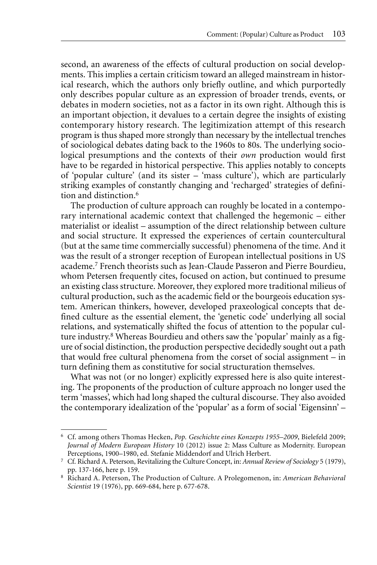second, an awareness of the effects of cultural production on social developments. This implies a certain criticism toward an alleged mainstream in historical research, which the authors only briefly outline, and which purportedly only describes popular culture as an expression of broader trends, events, or debates in modern societies, not as a factor in its own right. Although this is an important objection, it devalues to a certain degree the insights of existing contemporary history research. The legitimization attempt of this research program is thus shaped more strongly than necessary by the intellectual trenches of sociological debates dating back to the 1960s to 80s. The underlying sociological presumptions and the contexts of their *own* production would first have to be regarded in historical perspective. This applies notably to concepts of 'popular culture' (and its sister – 'mass culture'), which are particularly striking examples of constantly changing and 'recharged' strategies of definition and distinction.6

The production of culture approach can roughly be located in a contemporary international academic context that challenged the hegemonic – either materialist or idealist – assumption of the direct relationship between culture and social structure. It expressed the experiences of certain countercultural (but at the same time commercially successful) phenomena of the time. And it was the result of a stronger reception of European intellectual positions in US academe.7 French theorists such as Jean-Claude Passeron and Pierre Bourdieu, whom Petersen frequently cites, focused on action, but continued to presume an existing class structure. Moreover, they explored more traditional milieus of cultural production, such as the academic field or the bourgeois education system. American thinkers, however, developed praxeological concepts that defined culture as the essential element, the 'genetic code' underlying all social relations, and systematically shifted the focus of attention to the popular culture industry.8 Whereas Bourdieu and others saw the 'popular' mainly as a figure of social distinction, the production perspective decidedly sought out a path that would free cultural phenomena from the corset of social assignment – in turn defining them as constitutive for social structuration themselves.

What was not (or no longer) explicitly expressed here is also quite interesting. The proponents of the production of culture approach no longer used the term 'masses', which had long shaped the cultural discourse. They also avoided the contemporary idealization of the 'popular' as a form of social 'Eigensinn' –

<sup>6</sup> Cf. among others Thomas Hecken, *Pop. Geschichte eines Konzepts 1955–2009*, Bielefeld 2009; *Journal of Modern European History* 10 (2012) issue 2: Mass Culture as Modernity. European Perceptions, 1900–1980, ed. Stefanie Middendorf and Ulrich Herbert.

<sup>7</sup> Cf. Richard A. Peterson, Revitalizing the Culture Concept, in: *Annual Review of Sociology* 5 (1979), pp. 137-166, here p. 159.

<sup>8</sup> Richard A. Peterson, The Production of Culture. A Prolegomenon, in: *American Behavioral Scientist* 19 (1976), pp. 669-684, here p. 677-678.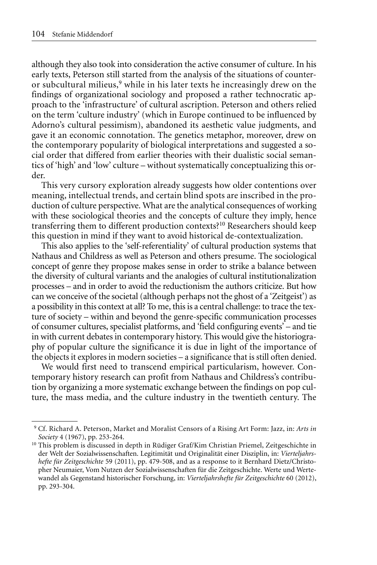although they also took into consideration the active consumer of culture. In his early texts, Peterson still started from the analysis of the situations of counteror subcultural milieus,<sup>9</sup> while in his later texts he increasingly drew on the findings of organizational sociology and proposed a rather technocratic approach to the 'infrastructure' of cultural ascription. Peterson and others relied on the term 'culture industry' (which in Europe continued to be influenced by Adorno's cultural pessimism), abandoned its aesthetic value judgments, and gave it an economic connotation. The genetics metaphor, moreover, drew on the contemporary popularity of biological interpretations and suggested a social order that differed from earlier theories with their dualistic social semantics of 'high' and 'low' culture – without systematically conceptualizing this order.

This very cursory exploration already suggests how older contentions over meaning, intellectual trends, and certain blind spots are inscribed in the production of culture perspective. What are the analytical consequences of working with these sociological theories and the concepts of culture they imply, hence transferring them to different production contexts?10 Researchers should keep this question in mind if they want to avoid historical de-contextualization.

This also applies to the 'self-referentiality' of cultural production systems that Nathaus and Childress as well as Peterson and others presume. The sociological concept of genre they propose makes sense in order to strike a balance between the diversity of cultural variants and the analogies of cultural institutionalization processes – and in order to avoid the reductionism the authors criticize. But how can we conceive of the societal (although perhaps not the ghost of a 'Zeitgeist') as a possibility in this context at all? To me, this is a central challenge: to trace the texture of society – within and beyond the genre-specific communication processes of consumer cultures, specialist platforms, and 'field configuring events' – and tie in with current debates in contemporary history. This would give the historiography of popular culture the significance it is due in light of the importance of the objects it explores in modern societies – a significance that is still often denied.

We would first need to transcend empirical particularism, however. Contemporary history research can profit from Nathaus and Childress's contribution by organizing a more systematic exchange between the findings on pop culture, the mass media, and the culture industry in the twentieth century. The

<sup>9</sup> Cf. Richard A. Peterson, Market and Moralist Censors of a Rising Art Form: Jazz, in: *Arts in Society* 4 (1967), pp. 253-264.

<sup>&</sup>lt;sup>10</sup> This problem is discussed in depth in Rüdiger Graf/Kim Christian Priemel, Zeitgeschichte in der Welt der Sozialwissenschaften. Legitimität und Originalität einer Disziplin, in: *Vierteljahrshefte für Zeitgeschichte* 59 (2011), pp. 479-508, and as a response to it Bernhard Dietz/Christopher Neumaier, Vom Nutzen der Sozialwissenschaften für die Zeitgeschichte. Werte und Wertewandel als Gegenstand historischer Forschung, in: *Vierteljahrshefte für Zeitgeschichte* 60 (2012), pp. 293-304.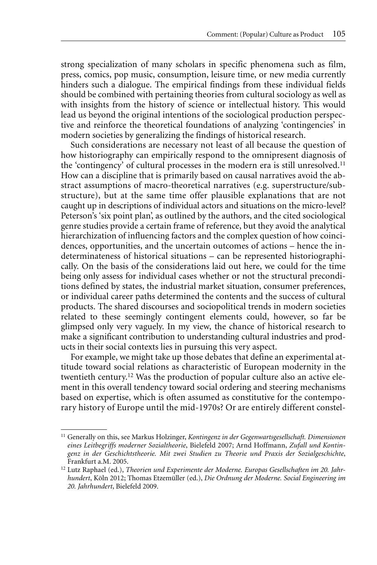strong specialization of many scholars in specific phenomena such as film, press, comics, pop music, consumption, leisure time, or new media currently hinders such a dialogue. The empirical findings from these individual fields should be combined with pertaining theories from cultural sociology as well as with insights from the history of science or intellectual history. This would lead us beyond the original intentions of the sociological production perspective and reinforce the theoretical foundations of analyzing 'contingencies' in modern societies by generalizing the findings of historical research.

Such considerations are necessary not least of all because the question of how historiography can empirically respond to the omnipresent diagnosis of the 'contingency' of cultural processes in the modern era is still unresolved.<sup>11</sup> How can a discipline that is primarily based on causal narratives avoid the abstract assumptions of macro-theoretical narratives (e.g. superstructure/substructure), but at the same time offer plausible explanations that are not caught up in descriptions of individual actors and situations on the micro-level? Peterson's 'six point plan', as outlined by the authors, and the cited sociological genre studies provide a certain frame of reference, but they avoid the analytical hierarchization of influencing factors and the complex question of how coincidences, opportunities, and the uncertain outcomes of actions – hence the indeterminateness of historical situations – can be represented historiographically. On the basis of the considerations laid out here, we could for the time being only assess for individual cases whether or not the structural preconditions defined by states, the industrial market situation, consumer preferences, or individual career paths determined the contents and the success of cultural products. The shared discourses and sociopolitical trends in modern societies related to these seemingly contingent elements could, however, so far be glimpsed only very vaguely. In my view, the chance of historical research to make a significant contribution to understanding cultural industries and products in their social contexts lies in pursuing this very aspect.

For example, we might take up those debates that define an experimental attitude toward social relations as characteristic of European modernity in the twentieth century.12 Was the production of popular culture also an active element in this overall tendency toward social ordering and steering mechanisms based on expertise, which is often assumed as constitutive for the contemporary history of Europe until the mid-1970s? Or are entirely different constel-

<sup>11</sup> Generally on this, see Markus Holzinger, *Kontingenz in der Gegenwartsgesellschaft. Dimensionen eines Leitbegriffs moderner Sozialtheorie*, Bielefeld 2007; Arnd Hoffmann, *Zufall und Kontingenz in der Geschichtstheorie. Mit zwei Studien zu Theorie und Praxis der Sozialgeschichte*, Frankfurt a.M. 2005.

<sup>&</sup>lt;sup>12</sup> Lutz Raphael (ed.), Theorien und Experimente der Moderne. Europas Gesellschaften im 20. Jahr*hundert*, Köln 2012; Thomas Etzemüller (ed.), *Die Ordnung der Moderne. Social Engineering im 20. Jahrhundert*, Bielefeld 2009.